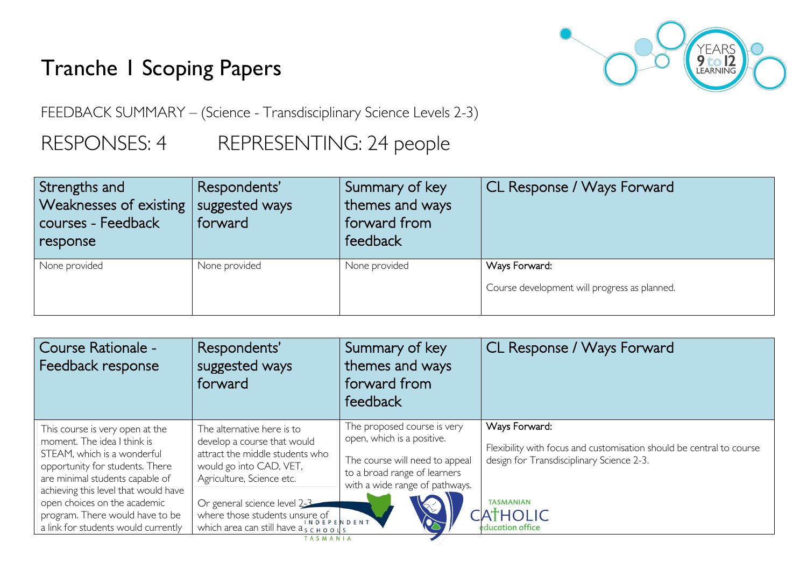# Tranche 1 Scoping Papers



FEEDBACK SUMMARY – (Science - Transdisciplinary Science Levels 2-3)

RESPONSES: 4 REPRESENTING: 24 people

| Strengths and<br>Weaknesses of existing  <br>courses - Feedback<br>response | Respondents'<br>suggested ways<br>forward | Summary of key<br>themes and ways<br>forward from<br>feedback | CL Response / Ways Forward                                    |
|-----------------------------------------------------------------------------|-------------------------------------------|---------------------------------------------------------------|---------------------------------------------------------------|
| None provided                                                               | None provided                             | None provided                                                 | Ways Forward:<br>Course development will progress as planned. |

| Course Rationale -<br>Feedback response                                                                                                                                                                                                                                                                               | Respondents'<br>suggested ways<br>forward                                                                                                                                                                                                                                                                                                   | Summary of key<br>themes and ways<br>forward from<br>feedback                                                                                                 | CL Response / Ways Forward                                                                                                                                                                    |
|-----------------------------------------------------------------------------------------------------------------------------------------------------------------------------------------------------------------------------------------------------------------------------------------------------------------------|---------------------------------------------------------------------------------------------------------------------------------------------------------------------------------------------------------------------------------------------------------------------------------------------------------------------------------------------|---------------------------------------------------------------------------------------------------------------------------------------------------------------|-----------------------------------------------------------------------------------------------------------------------------------------------------------------------------------------------|
| This course is very open at the<br>moment. The idea I think is<br>STEAM, which is a wonderful<br>opportunity for students. There<br>are minimal students capable of<br>achieving this level that would have<br>open choices on the academic<br>program. There would have to be<br>a link for students would currently | The alternative here is to<br>develop a course that would<br>attract the middle students who<br>would go into CAD, VET,<br>Agriculture, Science etc.<br>Or general science level 2-3<br>where those students unsure of $\sum_{n=1}^{\infty}$ $\sum_{n=1}^{\infty}$ $\sum_{n=1}^{\infty}$<br>which area can still have as CHOOLS<br>TASMANIA | The proposed course is very<br>open, which is a positive.<br>The course will need to appeal<br>to a broad range of learners<br>with a wide range of pathways. | Ways Forward:<br>Flexibility with focus and customisation should be central to course<br>design for Transdisciplinary Science 2-3.<br><b>TASMANIAN</b><br><b>CATHOLIC</b><br>education office |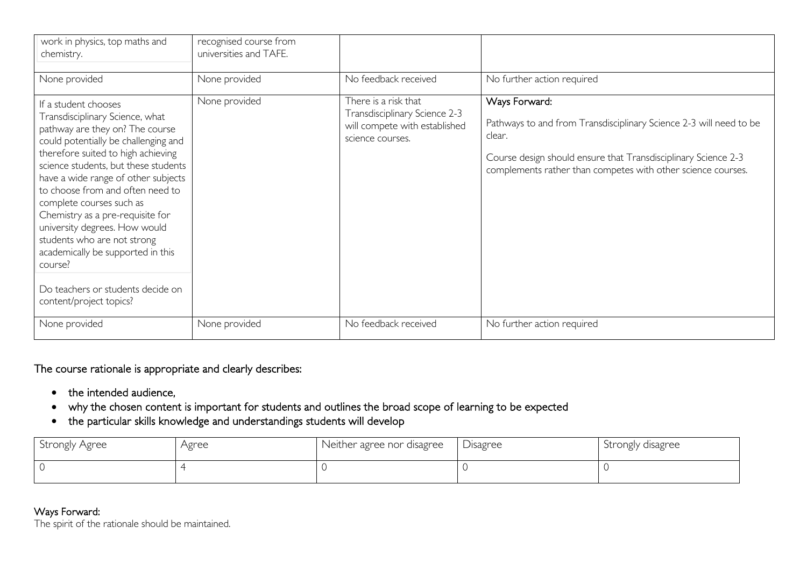| work in physics, top maths and<br>chemistry.                                                                                                                                                                                                                                                                                                                                                                                                                                                                                                | recognised course from<br>universities and TAFE. |                                                                                                            |                                                                                                                                                                                                                                 |
|---------------------------------------------------------------------------------------------------------------------------------------------------------------------------------------------------------------------------------------------------------------------------------------------------------------------------------------------------------------------------------------------------------------------------------------------------------------------------------------------------------------------------------------------|--------------------------------------------------|------------------------------------------------------------------------------------------------------------|---------------------------------------------------------------------------------------------------------------------------------------------------------------------------------------------------------------------------------|
| None provided                                                                                                                                                                                                                                                                                                                                                                                                                                                                                                                               | None provided                                    | No feedback received                                                                                       | No further action required                                                                                                                                                                                                      |
| If a student chooses<br>Transdisciplinary Science, what<br>pathway are they on? The course<br>could potentially be challenging and<br>therefore suited to high achieving<br>science students, but these students<br>have a wide range of other subjects<br>to choose from and often need to<br>complete courses such as<br>Chemistry as a pre-requisite for<br>university degrees. How would<br>students who are not strong<br>academically be supported in this<br>course?<br>Do teachers or students decide on<br>content/project topics? | None provided                                    | There is a risk that<br>Transdisciplinary Science 2-3<br>will compete with established<br>science courses. | Ways Forward:<br>Pathways to and from Transdisciplinary Science 2-3 will need to be<br>clear.<br>Course design should ensure that Transdisciplinary Science 2-3<br>complements rather than competes with other science courses. |
| None provided                                                                                                                                                                                                                                                                                                                                                                                                                                                                                                                               | None provided                                    | No feedback received                                                                                       | No further action required                                                                                                                                                                                                      |

### The course rationale is appropriate and clearly describes:

- the intended audience,
- why the chosen content is important for students and outlines the broad scope of learning to be expected
- the particular skills knowledge and understandings students will develop

| <b>Strongly Agree</b> | Agree | Neither agree nor disagree | <b>Disagree</b> | Strongly disagree |
|-----------------------|-------|----------------------------|-----------------|-------------------|
|                       |       |                            |                 |                   |

#### Ways Forward:

The spirit of the rationale should be maintained.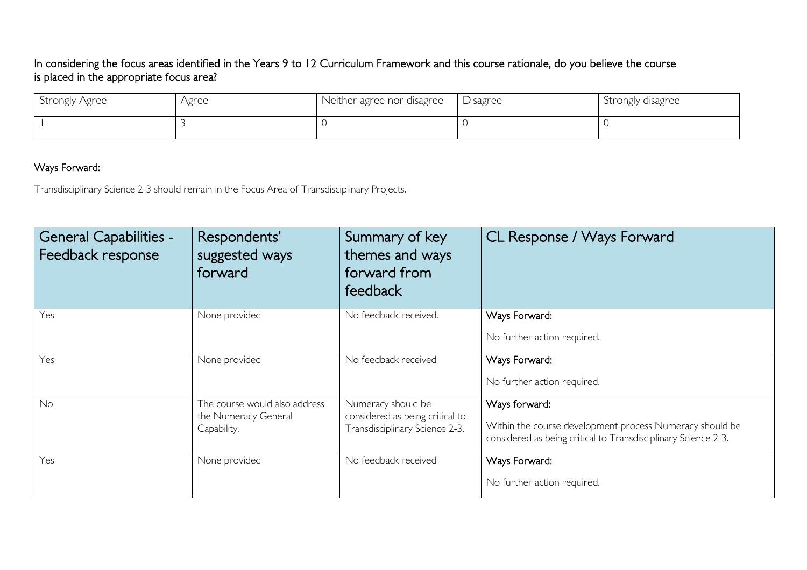## In considering the focus areas identified in the Years 9 to 12 Curriculum Framework and this course rationale, do you believe the course is placed in the appropriate focus area?

| Strongly Agree | Agree | Neither agree nor disagree | Disagree | Strongly disagree |
|----------------|-------|----------------------------|----------|-------------------|
|                |       |                            |          |                   |

## Ways Forward:

Transdisciplinary Science 2-3 should remain in the Focus Area of Transdisciplinary Projects.

| <b>General Capabilities -</b><br>Feedback response | Respondents'<br>suggested ways<br>forward                            | Summary of key<br>themes and ways<br>forward from<br>feedback                           | CL Response / Ways Forward                                                                                                                  |
|----------------------------------------------------|----------------------------------------------------------------------|-----------------------------------------------------------------------------------------|---------------------------------------------------------------------------------------------------------------------------------------------|
| Yes                                                | None provided                                                        | No feedback received.                                                                   | Ways Forward:<br>No further action required.                                                                                                |
| Yes                                                | None provided                                                        | No feedback received                                                                    | Ways Forward:<br>No further action required.                                                                                                |
| No                                                 | The course would also address<br>the Numeracy General<br>Capability. | Numeracy should be<br>considered as being critical to<br>Transdisciplinary Science 2-3. | Ways forward:<br>Within the course development process Numeracy should be<br>considered as being critical to Transdisciplinary Science 2-3. |
| Yes                                                | None provided                                                        | No feedback received                                                                    | Ways Forward:<br>No further action required.                                                                                                |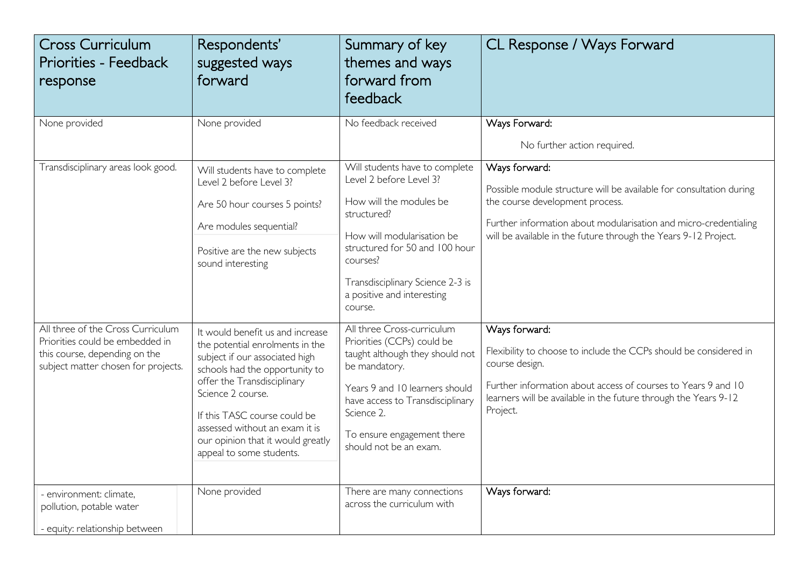| <b>Cross Curriculum</b><br><b>Priorities - Feedback</b><br>response                                                                          | Respondents'<br>suggested ways<br>forward                                                                                                                                                                                                                                                                                      | Summary of key<br>themes and ways<br>forward from<br>feedback                                                                                                                                                                                                | CL Response / Ways Forward                                                                                                                                                                                                                                     |
|----------------------------------------------------------------------------------------------------------------------------------------------|--------------------------------------------------------------------------------------------------------------------------------------------------------------------------------------------------------------------------------------------------------------------------------------------------------------------------------|--------------------------------------------------------------------------------------------------------------------------------------------------------------------------------------------------------------------------------------------------------------|----------------------------------------------------------------------------------------------------------------------------------------------------------------------------------------------------------------------------------------------------------------|
| None provided                                                                                                                                | None provided                                                                                                                                                                                                                                                                                                                  | No feedback received                                                                                                                                                                                                                                         | Ways Forward:<br>No further action required.                                                                                                                                                                                                                   |
| Transdisciplinary areas look good.                                                                                                           | Will students have to complete<br>Level 2 before Level 3?<br>Are 50 hour courses 5 points?<br>Are modules sequential?<br>Positive are the new subjects<br>sound interesting                                                                                                                                                    | Will students have to complete<br>Level 2 before Level 3?<br>How will the modules be<br>structured?<br>How will modularisation be<br>structured for 50 and 100 hour<br>courses?<br>Transdisciplinary Science 2-3 is<br>a positive and interesting<br>course. | Ways forward:<br>Possible module structure will be available for consultation during<br>the course development process.<br>Further information about modularisation and micro-credentialing<br>will be available in the future through the Years 9-12 Project. |
| All three of the Cross Curriculum<br>Priorities could be embedded in<br>this course, depending on the<br>subject matter chosen for projects. | It would benefit us and increase<br>the potential enrolments in the<br>subject if our associated high<br>schools had the opportunity to<br>offer the Transdisciplinary<br>Science 2 course.<br>If this TASC course could be<br>assessed without an exam it is<br>our opinion that it would greatly<br>appeal to some students. | All three Cross-curriculum<br>Priorities (CCPs) could be<br>taught although they should not<br>be mandatory.<br>Years 9 and 10 learners should<br>have access to Transdisciplinary<br>Science 2.<br>To ensure engagement there<br>should not be an exam.     | Ways forward:<br>Flexibility to choose to include the CCPs should be considered in<br>course design.<br>Further information about access of courses to Years 9 and 10<br>learners will be available in the future through the Years 9-12<br>Project.           |
| - environment: climate,<br>pollution, potable water<br>- equity: relationship between                                                        | None provided                                                                                                                                                                                                                                                                                                                  | There are many connections<br>across the curriculum with                                                                                                                                                                                                     | Ways forward:                                                                                                                                                                                                                                                  |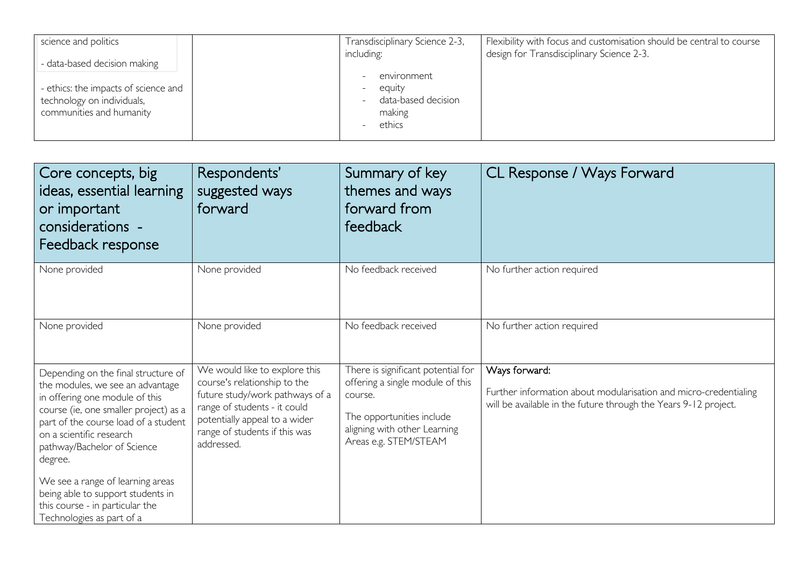| science and politics                 | Transdisciplinary Science 2-3,                  | Flexibility with focus and customisation should be central to course |
|--------------------------------------|-------------------------------------------------|----------------------------------------------------------------------|
| - data-based decision making         | including:                                      | design for Transdisciplinary Science 2-3.                            |
|                                      | environment                                     |                                                                      |
| - ethics: the impacts of science and | equity                                          |                                                                      |
| technology on individuals,           | data-based decision<br>$\overline{\phantom{a}}$ |                                                                      |
| communities and humanity             | making                                          |                                                                      |
|                                      | ethics                                          |                                                                      |
|                                      |                                                 |                                                                      |

| Core concepts, big<br>ideas, essential learning<br>or important<br>considerations -<br>Feedback response                                                                                                                                                                                                                                                                                                  | Respondents'<br>suggested ways<br>forward                                                                                                                                                                        | Summary of key<br>themes and ways<br>forward from<br>feedback                                                                                                           | CL Response / Ways Forward                                                                                                                           |
|-----------------------------------------------------------------------------------------------------------------------------------------------------------------------------------------------------------------------------------------------------------------------------------------------------------------------------------------------------------------------------------------------------------|------------------------------------------------------------------------------------------------------------------------------------------------------------------------------------------------------------------|-------------------------------------------------------------------------------------------------------------------------------------------------------------------------|------------------------------------------------------------------------------------------------------------------------------------------------------|
| None provided                                                                                                                                                                                                                                                                                                                                                                                             | None provided                                                                                                                                                                                                    | No feedback received                                                                                                                                                    | No further action required                                                                                                                           |
| None provided                                                                                                                                                                                                                                                                                                                                                                                             | None provided                                                                                                                                                                                                    | No feedback received                                                                                                                                                    | No further action required                                                                                                                           |
| Depending on the final structure of<br>the modules, we see an advantage<br>in offering one module of this<br>course (ie, one smaller project) as a<br>part of the course load of a student<br>on a scientific research<br>pathway/Bachelor of Science<br>degree.<br>We see a range of learning areas<br>being able to support students in<br>this course - in particular the<br>Technologies as part of a | We would like to explore this<br>course's relationship to the<br>future study/work pathways of a<br>range of students - it could<br>potentially appeal to a wider<br>range of students if this was<br>addressed. | There is significant potential for<br>offering a single module of this<br>course.<br>The opportunities include<br>aligning with other Learning<br>Areas e.g. STEM/STEAM | Ways forward:<br>Further information about modularisation and micro-credentialing<br>will be available in the future through the Years 9-12 project. |